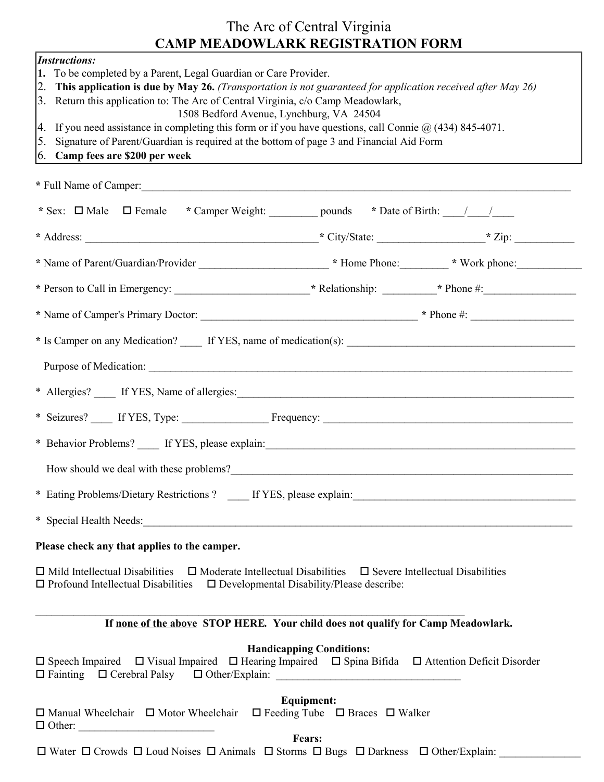## The Arc of Central Virginia CAMP MEADOWLARK REGISTRATION FORM

| <b>Instructions:</b><br>1. To be completed by a Parent, Legal Guardian or Care Provider.<br>2. This application is due by May 26. (Transportation is not guaranteed for application received after May 26)<br>3. Return this application to: The Arc of Central Virginia, c/o Camp Meadowlark,<br>1508 Bedford Avenue, Lynchburg, VA 24504<br>4. If you need assistance in completing this form or if you have questions, call Connie $\omega$ (434) 845-4071.<br>Signature of Parent/Guardian is required at the bottom of page 3 and Financial Aid Form<br>5. |                                                                      |  |
|-----------------------------------------------------------------------------------------------------------------------------------------------------------------------------------------------------------------------------------------------------------------------------------------------------------------------------------------------------------------------------------------------------------------------------------------------------------------------------------------------------------------------------------------------------------------|----------------------------------------------------------------------|--|
| 6. Camp fees are \$200 per week                                                                                                                                                                                                                                                                                                                                                                                                                                                                                                                                 |                                                                      |  |
| * Full Name of Camper:                                                                                                                                                                                                                                                                                                                                                                                                                                                                                                                                          |                                                                      |  |
|                                                                                                                                                                                                                                                                                                                                                                                                                                                                                                                                                                 |                                                                      |  |
|                                                                                                                                                                                                                                                                                                                                                                                                                                                                                                                                                                 |                                                                      |  |
|                                                                                                                                                                                                                                                                                                                                                                                                                                                                                                                                                                 |                                                                      |  |
|                                                                                                                                                                                                                                                                                                                                                                                                                                                                                                                                                                 |                                                                      |  |
|                                                                                                                                                                                                                                                                                                                                                                                                                                                                                                                                                                 |                                                                      |  |
|                                                                                                                                                                                                                                                                                                                                                                                                                                                                                                                                                                 |                                                                      |  |
|                                                                                                                                                                                                                                                                                                                                                                                                                                                                                                                                                                 |                                                                      |  |
|                                                                                                                                                                                                                                                                                                                                                                                                                                                                                                                                                                 |                                                                      |  |
|                                                                                                                                                                                                                                                                                                                                                                                                                                                                                                                                                                 |                                                                      |  |
|                                                                                                                                                                                                                                                                                                                                                                                                                                                                                                                                                                 |                                                                      |  |
|                                                                                                                                                                                                                                                                                                                                                                                                                                                                                                                                                                 |                                                                      |  |
| $\ast$                                                                                                                                                                                                                                                                                                                                                                                                                                                                                                                                                          |                                                                      |  |
| * Special Health Needs:                                                                                                                                                                                                                                                                                                                                                                                                                                                                                                                                         |                                                                      |  |
| Please check any that applies to the camper.                                                                                                                                                                                                                                                                                                                                                                                                                                                                                                                    |                                                                      |  |
| $\Box$ Mild Intellectual Disabilities $\Box$ Moderate Intellectual Disabilities $\Box$ Severe Intellectual Disabilities<br>$\square$ Developmental Disability/Please describe:<br>$\Box$ Profound Intellectual Disabilities                                                                                                                                                                                                                                                                                                                                     |                                                                      |  |
| If none of the above STOP HERE. Your child does not qualify for Camp Meadowlark.                                                                                                                                                                                                                                                                                                                                                                                                                                                                                |                                                                      |  |
| $\Box$ Speech Impaired $\Box$ Visual Impaired $\Box$ Hearing Impaired $\Box$ Spina Bifida $\Box$ Attention Deficit Disorder<br>□ Fainting □ Cerebral Palsy □ Other/Explain: ___________________________________                                                                                                                                                                                                                                                                                                                                                 | <b>Handicapping Conditions:</b>                                      |  |
| $\Box$ Manual Wheelchair $\Box$ Motor Wheelchair<br>$\Box$ Other:                                                                                                                                                                                                                                                                                                                                                                                                                                                                                               | <b>Equipment:</b><br>$\Box$ Feeding Tube $\Box$ Braces $\Box$ Walker |  |
| $\Box$ Water $\Box$ Crowds $\Box$ Loud Noises $\Box$ Animals $\Box$ Storms $\Box$ Bugs $\Box$ Darkness $\Box$ Other/Explain:                                                                                                                                                                                                                                                                                                                                                                                                                                    | Fears:                                                               |  |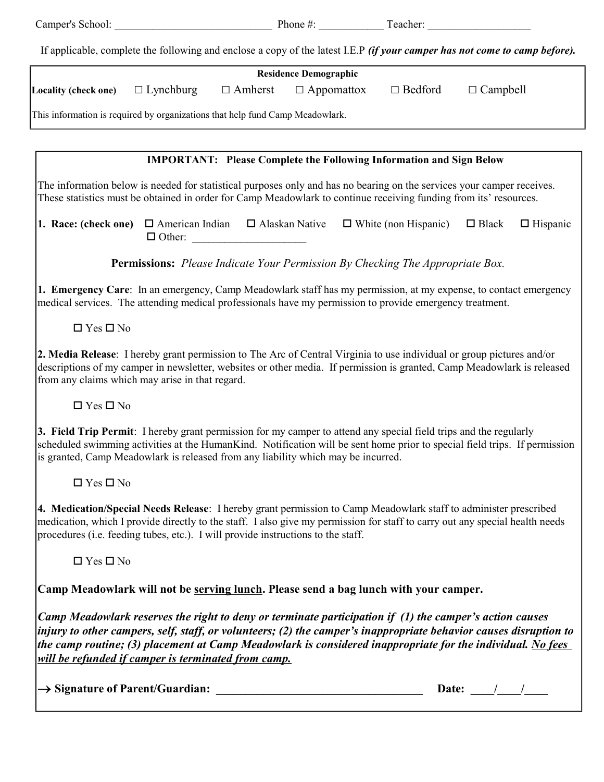| Camper's School:                                                                                                                   | Phone $\#$ : | Teacher: |  |
|------------------------------------------------------------------------------------------------------------------------------------|--------------|----------|--|
|                                                                                                                                    |              |          |  |
| If applicable, complete the following and enclose a copy of the latest I.E.P <i>(if your camper has not come to camp before)</i> . |              |          |  |

| <b>Residence Demographic</b>                                                  |                  |                |                   |                |                 |  |
|-------------------------------------------------------------------------------|------------------|----------------|-------------------|----------------|-----------------|--|
| <b>Locality (check one)</b>                                                   | $\Box$ Lynchburg | $\Box$ Amherst | $\Box$ Appomattox | $\Box$ Bedford | $\Box$ Campbell |  |
| This information is required by organizations that help fund Camp Meadowlark. |                  |                |                   |                |                 |  |

#### IMPORTANT: Please Complete the Following Information and Sign Below

The information below is needed for statistical purposes only and has no bearing on the services your camper receives. These statistics must be obtained in order for Camp Meadowlark to continue receiving funding from its' resources.

**1. Race: (check one)**  $\Box$  American Indian  $\Box$  Alaskan Native  $\Box$  White (non Hispanic)  $\Box$  Black  $\Box$  Hispanic  $\Box$  Other:

Permissions: Please Indicate Your Permission By Checking The Appropriate Box.

1. Emergency Care: In an emergency, Camp Meadowlark staff has my permission, at my expense, to contact emergency medical services. The attending medical professionals have my permission to provide emergency treatment.

 $\Box$  Yes  $\Box$  No

2. Media Release: I hereby grant permission to The Arc of Central Virginia to use individual or group pictures and/or descriptions of my camper in newsletter, websites or other media. If permission is granted, Camp Meadowlark is released from any claims which may arise in that regard.

 $\Box$  Yes  $\Box$  No

3. Field Trip Permit: I hereby grant permission for my camper to attend any special field trips and the regularly scheduled swimming activities at the HumanKind. Notification will be sent home prior to special field trips. If permission is granted, Camp Meadowlark is released from any liability which may be incurred.

 $\Box$  Yes  $\Box$  No

4. Medication/Special Needs Release: I hereby grant permission to Camp Meadowlark staff to administer prescribed medication, which I provide directly to the staff. I also give my permission for staff to carry out any special health needs procedures (i.e. feeding tubes, etc.). I will provide instructions to the staff.

 $\Box$  Yes  $\Box$  No

Camp Meadowlark will not be serving lunch. Please send a bag lunch with your camper.

Camp Meadowlark reserves the right to deny or terminate participation if (1) the camper's action causes injury to other campers, self, staff, or volunteers; (2) the camper's inappropriate behavior causes disruption to the camp routine; (3) placement at Camp Meadowlark is considered inappropriate for the individual. No fees will be refunded if camper is terminated from camp.

 $\rightarrow$  Signature of Parent/Guardian:

| Date: |  |
|-------|--|
|       |  |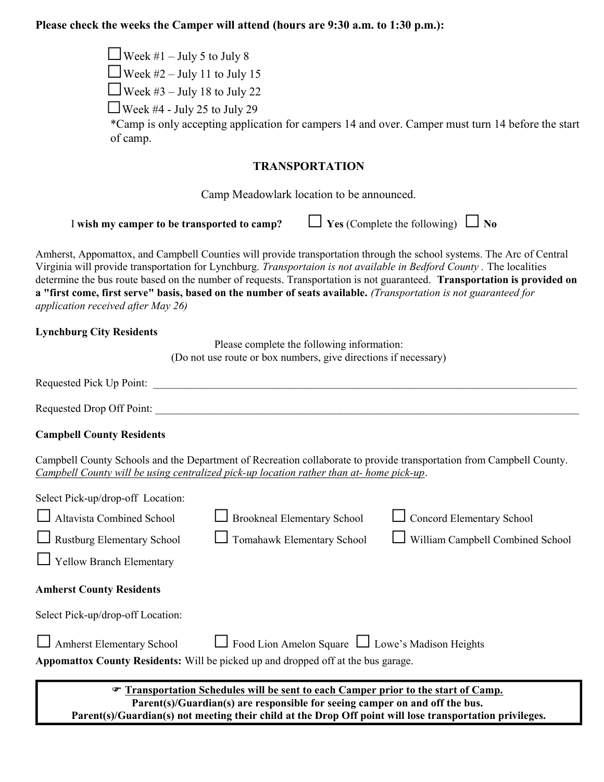### Please check the weeks the Camper will attend (hours are  $9.30$  a.m. to  $1.30$  p.m.):

| The secure the weeks the Camper will attend (not is are <i>f</i> . <i>J</i> a.m. to f. <i>J</i> p.m.).                                                                                                                                                                                                                                                                                                                                                                                                                              |
|-------------------------------------------------------------------------------------------------------------------------------------------------------------------------------------------------------------------------------------------------------------------------------------------------------------------------------------------------------------------------------------------------------------------------------------------------------------------------------------------------------------------------------------|
| □ Week #1 – July 5 to July 8                                                                                                                                                                                                                                                                                                                                                                                                                                                                                                        |
| □ Week #2 – July 11 to July 15                                                                                                                                                                                                                                                                                                                                                                                                                                                                                                      |
| $\Box$ Week #3 – July 18 to July 22                                                                                                                                                                                                                                                                                                                                                                                                                                                                                                 |
| $\Box$ Week #4 - July 25 to July 29<br>*Camp is only accepting application for campers 14 and over. Camper must turn 14 before the start<br>of camp.                                                                                                                                                                                                                                                                                                                                                                                |
| <b>TRANSPORTATION</b>                                                                                                                                                                                                                                                                                                                                                                                                                                                                                                               |
| Camp Meadowlark location to be announced.                                                                                                                                                                                                                                                                                                                                                                                                                                                                                           |
| $\Box$ Yes (Complete the following) $\Box$ No<br>I wish my camper to be transported to camp?                                                                                                                                                                                                                                                                                                                                                                                                                                        |
| Amherst, Appomattox, and Campbell Counties will provide transportation through the school systems. The Arc of Central<br>Virginia will provide transportation for Lynchburg. Transportaion is not available in Bedford County. The localities<br>determine the bus route based on the number of requests. Transportation is not guaranteed. Transportation is provided on<br>a "first come, first serve" basis, based on the number of seats available. (Transportation is not guaranteed for<br>application received after May 26) |
| <b>Lynchburg City Residents</b><br>Please complete the following information:<br>(Do not use route or box numbers, give directions if necessary)                                                                                                                                                                                                                                                                                                                                                                                    |
|                                                                                                                                                                                                                                                                                                                                                                                                                                                                                                                                     |
|                                                                                                                                                                                                                                                                                                                                                                                                                                                                                                                                     |
| <b>Campbell County Residents</b>                                                                                                                                                                                                                                                                                                                                                                                                                                                                                                    |
| Campbell County Schools and the Department of Recreation collaborate to provide transportation from Campbell County.<br><u>Campbell County will be using centralized pick-up location rather than at- home pick-up.</u>                                                                                                                                                                                                                                                                                                             |
| Select Pick-up/drop-off Location:                                                                                                                                                                                                                                                                                                                                                                                                                                                                                                   |
| Altavista Combined School<br><b>Concord Elementary School</b><br><b>Brookneal Elementary School</b>                                                                                                                                                                                                                                                                                                                                                                                                                                 |
| Rustburg Elementary School<br>William Campbell Combined School<br>Tomahawk Elementary School                                                                                                                                                                                                                                                                                                                                                                                                                                        |
| Yellow Branch Elementary                                                                                                                                                                                                                                                                                                                                                                                                                                                                                                            |
| <b>Amherst County Residents</b>                                                                                                                                                                                                                                                                                                                                                                                                                                                                                                     |
| Select Pick-up/drop-off Location:                                                                                                                                                                                                                                                                                                                                                                                                                                                                                                   |
| Amherst Elementary School<br>Food Lion Amelon Square <u>Let</u> Lowe's Madison Heights<br>Appomattox County Residents: Will be picked up and dropped off at the bus garage.                                                                                                                                                                                                                                                                                                                                                         |

Transportation Schedules will be sent to each Camper prior to the start of Camp. Parent(s)/Guardian(s) are responsible for seeing camper on and off the bus. Parent(s)/Guardian(s) not meeting their child at the Drop Off point will lose transportation privileges.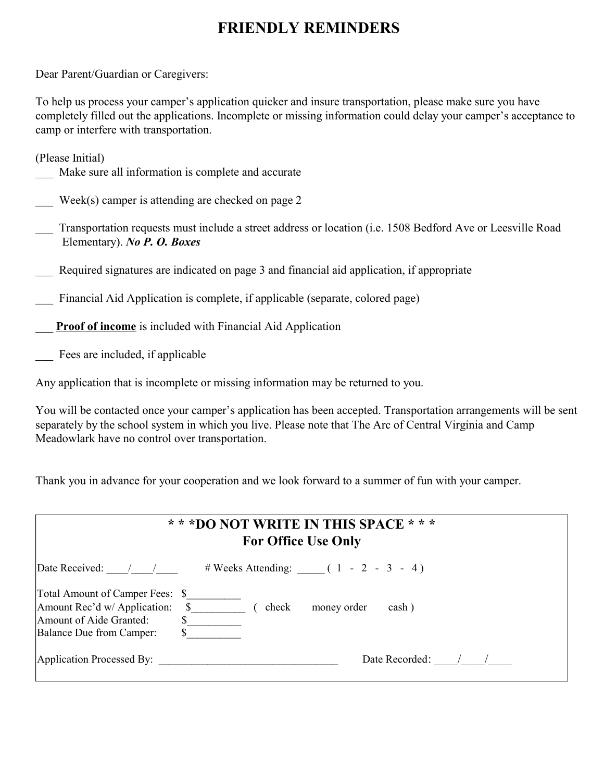# FRIENDLY REMINDERS

Dear Parent/Guardian or Caregivers:

To help us process your camper's application quicker and insure transportation, please make sure you have completely filled out the applications. Incomplete or missing information could delay your camper's acceptance to camp or interfere with transportation.

| (Please Initial)                                                                                           |
|------------------------------------------------------------------------------------------------------------|
| Make sure all information is complete and accurate                                                         |
|                                                                                                            |
| Week(s) camper is attending are checked on page $2$                                                        |
|                                                                                                            |
|                                                                                                            |
| Transportation requests must include a street address or location (i.e. 1508 Bedford Ave or Leesville Road |
| Elementary). No P. O. Boxes                                                                                |
|                                                                                                            |
| Required signatures are indicated on page 3 and financial aid application, if appropriate                  |
|                                                                                                            |
| Financial Aid Application is complete, if applicable (separate, colored page)                              |
|                                                                                                            |
| <b>Proof of income</b> is included with Financial Aid Application                                          |
|                                                                                                            |

Fees are included, if applicable

Any application that is incomplete or missing information may be returned to you.

You will be contacted once your camper's application has been accepted. Transportation arrangements will be sent separately by the school system in which you live. Please note that The Arc of Central Virginia and Camp Meadowlark have no control over transportation.

Thank you in advance for your cooperation and we look forward to a summer of fun with your camper.

| * * *DO NOT WRITE IN THIS SPACE * * *<br><b>For Office Use Only</b>                                                                                        |  |  |
|------------------------------------------------------------------------------------------------------------------------------------------------------------|--|--|
| Date Received: $\frac{1}{1}$ $\frac{1}{1}$ # Weeks Attending: $\frac{1}{1}$ 1 - 2 - 3 - 4)                                                                 |  |  |
| Total Amount of Camper Fees: \$<br>Amount Rec'd w/ Application: \$<br>check<br>money order<br>cash)<br>Amount of Aide Granted:<br>Balance Due from Camper: |  |  |
| Date Recorded: /<br>Application Processed By:                                                                                                              |  |  |